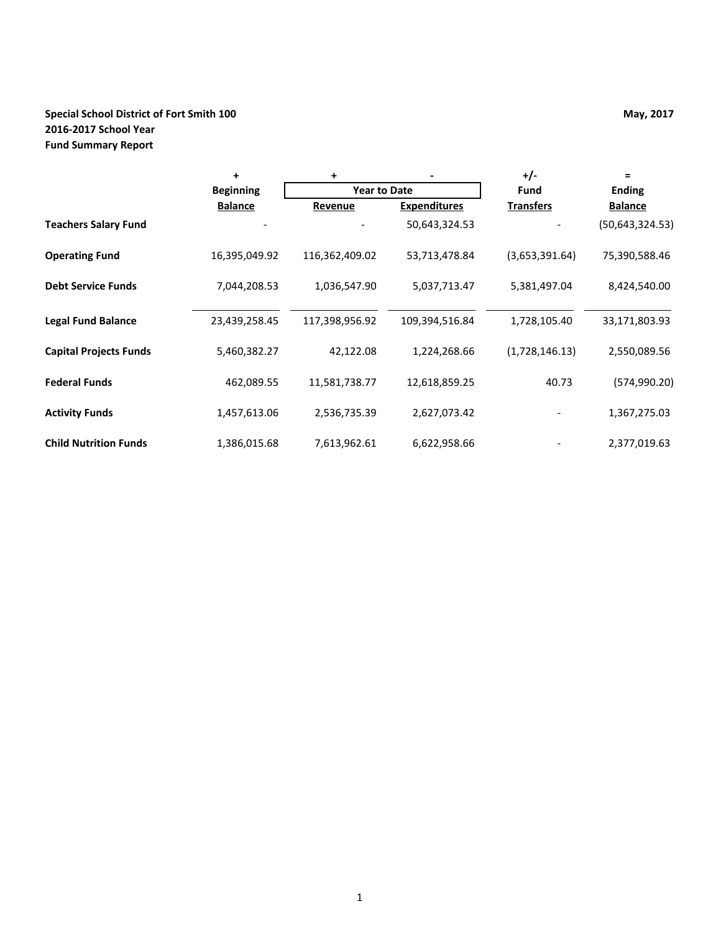## **Special School District of Fort Smith 100 May, 2017 May, 2017 2016-2017 School Year Fund Summary Report**

|                               | $\ddot{}$        | +                   |                     | $+/-$            | $=$               |  |
|-------------------------------|------------------|---------------------|---------------------|------------------|-------------------|--|
|                               | <b>Beginning</b> | <b>Year to Date</b> |                     | Fund             | <b>Ending</b>     |  |
|                               | <b>Balance</b>   | Revenue             | <b>Expenditures</b> | <b>Transfers</b> | <b>Balance</b>    |  |
| <b>Teachers Salary Fund</b>   |                  |                     | 50,643,324.53       |                  | (50, 643, 324.53) |  |
| <b>Operating Fund</b>         | 16,395,049.92    | 116,362,409.02      | 53,713,478.84       | (3,653,391.64)   | 75,390,588.46     |  |
| <b>Debt Service Funds</b>     | 7,044,208.53     | 1,036,547.90        | 5,037,713.47        | 5,381,497.04     | 8,424,540.00      |  |
| <b>Legal Fund Balance</b>     | 23,439,258.45    | 117,398,956.92      | 109,394,516.84      | 1,728,105.40     | 33,171,803.93     |  |
| <b>Capital Projects Funds</b> | 5,460,382.27     | 42,122.08           | 1,224,268.66        | (1,728,146.13)   | 2,550,089.56      |  |
| <b>Federal Funds</b>          | 462,089.55       | 11,581,738.77       | 12,618,859.25       | 40.73            | (574, 990.20)     |  |
| <b>Activity Funds</b>         | 1,457,613.06     | 2,536,735.39        | 2,627,073.42        |                  | 1,367,275.03      |  |
| <b>Child Nutrition Funds</b>  | 1,386,015.68     | 7,613,962.61        | 6,622,958.66        |                  | 2,377,019.63      |  |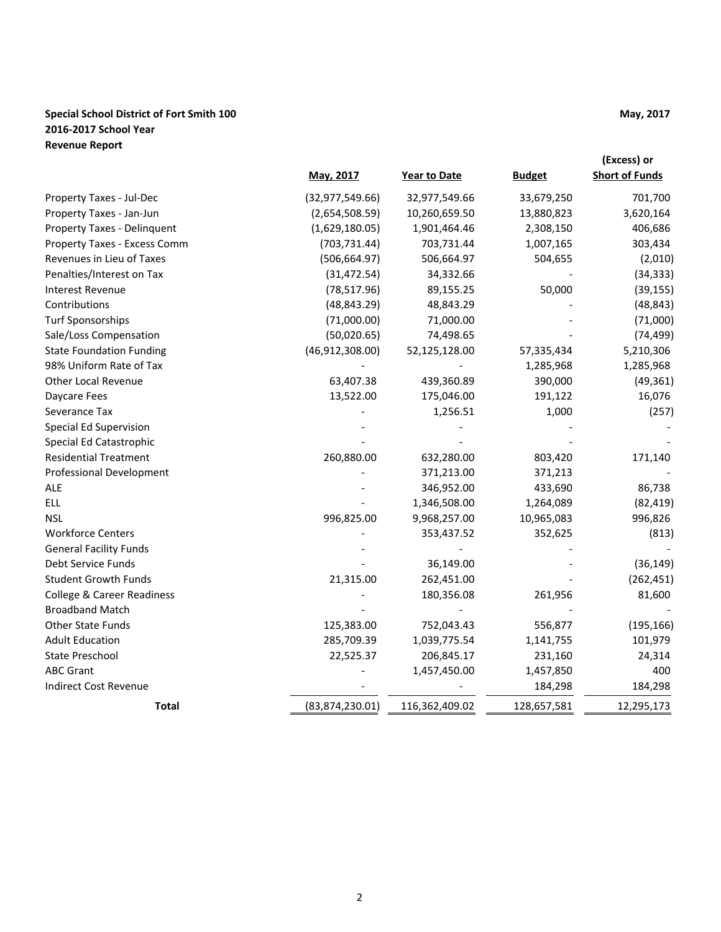## **Special School District of Fort Smith 100 May, 2017 May, 2017 2016-2017 School Year Revenue Report**

|                                       |                   |                |               | (Excess) or           |
|---------------------------------------|-------------------|----------------|---------------|-----------------------|
|                                       | May, 2017         | Year to Date   | <b>Budget</b> | <b>Short of Funds</b> |
| Property Taxes - Jul-Dec              | (32, 977, 549.66) | 32,977,549.66  | 33,679,250    | 701,700               |
| Property Taxes - Jan-Jun              | (2,654,508.59)    | 10,260,659.50  | 13,880,823    | 3,620,164             |
| Property Taxes - Delinquent           | (1,629,180.05)    | 1,901,464.46   | 2,308,150     | 406,686               |
| Property Taxes - Excess Comm          | (703, 731.44)     | 703,731.44     | 1,007,165     | 303,434               |
| Revenues in Lieu of Taxes             | (506, 664.97)     | 506,664.97     | 504,655       | (2,010)               |
| Penalties/Interest on Tax             | (31, 472.54)      | 34,332.66      |               | (34, 333)             |
| Interest Revenue                      | (78, 517.96)      | 89,155.25      | 50,000        | (39, 155)             |
| Contributions                         | (48, 843.29)      | 48,843.29      |               | (48, 843)             |
| <b>Turf Sponsorships</b>              | (71,000.00)       | 71,000.00      |               | (71,000)              |
| Sale/Loss Compensation                | (50,020.65)       | 74,498.65      |               | (74, 499)             |
| <b>State Foundation Funding</b>       | (46, 912, 308.00) | 52,125,128.00  | 57,335,434    | 5,210,306             |
| 98% Uniform Rate of Tax               |                   |                | 1,285,968     | 1,285,968             |
| <b>Other Local Revenue</b>            | 63,407.38         | 439,360.89     | 390,000       | (49, 361)             |
| Daycare Fees                          | 13,522.00         | 175,046.00     | 191,122       | 16,076                |
| Severance Tax                         |                   | 1,256.51       | 1,000         | (257)                 |
| Special Ed Supervision                |                   |                |               |                       |
| Special Ed Catastrophic               |                   |                |               |                       |
| <b>Residential Treatment</b>          | 260,880.00        | 632,280.00     | 803,420       | 171,140               |
| <b>Professional Development</b>       |                   | 371,213.00     | 371,213       |                       |
| ALE                                   |                   | 346,952.00     | 433,690       | 86,738                |
| <b>ELL</b>                            |                   | 1,346,508.00   | 1,264,089     | (82, 419)             |
| <b>NSL</b>                            | 996,825.00        | 9,968,257.00   | 10,965,083    | 996,826               |
| <b>Workforce Centers</b>              |                   | 353,437.52     | 352,625       | (813)                 |
| <b>General Facility Funds</b>         |                   |                |               |                       |
| Debt Service Funds                    |                   | 36,149.00      |               | (36, 149)             |
| <b>Student Growth Funds</b>           | 21,315.00         | 262,451.00     |               | (262, 451)            |
| <b>College &amp; Career Readiness</b> |                   | 180,356.08     | 261,956       | 81,600                |
| <b>Broadband Match</b>                |                   |                |               |                       |
| Other State Funds                     | 125,383.00        | 752,043.43     | 556,877       | (195, 166)            |
| <b>Adult Education</b>                | 285,709.39        | 1,039,775.54   | 1,141,755     | 101,979               |
| State Preschool                       | 22,525.37         | 206,845.17     | 231,160       | 24,314                |
| <b>ABC Grant</b>                      |                   | 1,457,450.00   | 1,457,850     | 400                   |
| <b>Indirect Cost Revenue</b>          |                   |                | 184,298       | 184,298               |
| <b>Total</b>                          | (83,874,230.01)   | 116,362,409.02 | 128,657,581   | 12,295,173            |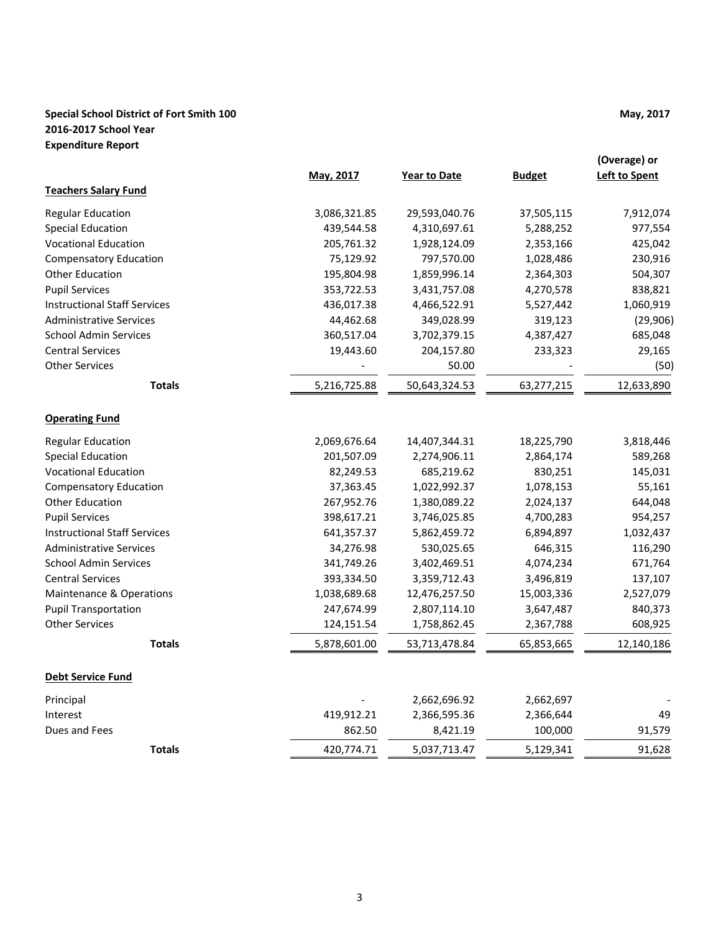## **Special School District of Fort Smith 100 May, 2017 May, 2017 2016-2017 School Year Expenditure Report**

|                                     | May, 2017    | <b>Year to Date</b> | <b>Budget</b> | (Overage) or<br><b>Left to Spent</b> |
|-------------------------------------|--------------|---------------------|---------------|--------------------------------------|
| <b>Teachers Salary Fund</b>         |              |                     |               |                                      |
| <b>Regular Education</b>            | 3,086,321.85 | 29,593,040.76       | 37,505,115    | 7,912,074                            |
| <b>Special Education</b>            | 439,544.58   | 4,310,697.61        | 5,288,252     | 977,554                              |
| <b>Vocational Education</b>         | 205,761.32   | 1,928,124.09        | 2,353,166     | 425,042                              |
| <b>Compensatory Education</b>       | 75,129.92    | 797,570.00          | 1,028,486     | 230,916                              |
| <b>Other Education</b>              | 195,804.98   | 1,859,996.14        | 2,364,303     | 504,307                              |
| <b>Pupil Services</b>               | 353,722.53   | 3,431,757.08        | 4,270,578     | 838,821                              |
| <b>Instructional Staff Services</b> | 436,017.38   | 4,466,522.91        | 5,527,442     | 1,060,919                            |
| <b>Administrative Services</b>      | 44,462.68    | 349,028.99          | 319,123       | (29, 906)                            |
| <b>School Admin Services</b>        | 360,517.04   | 3,702,379.15        | 4,387,427     | 685,048                              |
| <b>Central Services</b>             | 19,443.60    | 204,157.80          | 233,323       | 29,165                               |
| <b>Other Services</b>               |              | 50.00               |               | (50)                                 |
| <b>Totals</b>                       | 5,216,725.88 | 50,643,324.53       | 63,277,215    | 12,633,890                           |
| <b>Operating Fund</b>               |              |                     |               |                                      |
| <b>Regular Education</b>            | 2,069,676.64 | 14,407,344.31       | 18,225,790    | 3,818,446                            |
| <b>Special Education</b>            | 201,507.09   | 2,274,906.11        | 2,864,174     | 589,268                              |
| <b>Vocational Education</b>         | 82,249.53    | 685,219.62          | 830,251       | 145,031                              |
| <b>Compensatory Education</b>       | 37,363.45    | 1,022,992.37        | 1,078,153     | 55,161                               |
| <b>Other Education</b>              | 267,952.76   | 1,380,089.22        | 2,024,137     | 644,048                              |
| <b>Pupil Services</b>               | 398,617.21   | 3,746,025.85        | 4,700,283     | 954,257                              |
| <b>Instructional Staff Services</b> | 641,357.37   | 5,862,459.72        | 6,894,897     | 1,032,437                            |
| <b>Administrative Services</b>      | 34,276.98    | 530,025.65          | 646,315       | 116,290                              |
| <b>School Admin Services</b>        | 341,749.26   | 3,402,469.51        | 4,074,234     | 671,764                              |
| <b>Central Services</b>             | 393,334.50   | 3,359,712.43        | 3,496,819     | 137,107                              |
| Maintenance & Operations            | 1,038,689.68 | 12,476,257.50       | 15,003,336    | 2,527,079                            |
| <b>Pupil Transportation</b>         | 247,674.99   | 2,807,114.10        | 3,647,487     | 840,373                              |
| <b>Other Services</b>               | 124,151.54   | 1,758,862.45        | 2,367,788     | 608,925                              |
| <b>Totals</b>                       | 5,878,601.00 | 53,713,478.84       | 65,853,665    | 12,140,186                           |
| <b>Debt Service Fund</b>            |              |                     |               |                                      |
| Principal                           |              | 2,662,696.92        | 2,662,697     |                                      |
| Interest                            | 419,912.21   | 2,366,595.36        | 2,366,644     | 49                                   |
| Dues and Fees                       | 862.50       | 8,421.19            | 100,000       | 91,579                               |
| <b>Totals</b>                       | 420,774.71   | 5,037,713.47        | 5,129,341     | 91,628                               |
|                                     |              |                     |               |                                      |